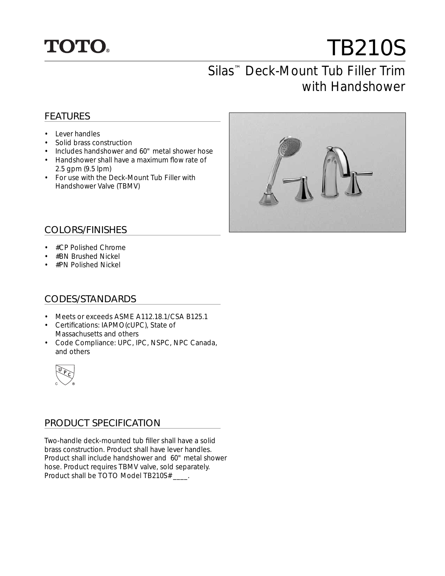

# TB210S

# Silas™ Deck-Mount Tub Filler Trim with Handshower

### FEATURES

- Lever handles
- Solid brass construction
- Includes handshower and 60" metal shower hose
- Handshower shall have a maximum flow rate of 2.5 gpm (9.5 lpm)
- For use with the Deck-Mount Tub Filler with Handshower Valve (TBMV)



#### COLORS/FINISHES

- #CP Polished Chrome
- #BN Brushed Nickel
- #PN Polished Nickel

#### CODES/STANDARDS

- Meets or exceeds ASME A112.18.1/CSA B125.1
- Certifications: IAPMO(cUPC), State of Massachusetts and others
- Code Compliance: UPC, IPC, NSPC, NPC Canada, and others



#### PRODUCT SPECIFICATION

Two-handle deck-mounted tub filler shall have a solid brass construction. Product shall have lever handles. Product shall include handshower and 60" metal shower hose. Product requires TBMV valve, sold separately. Product shall be TOTO Model TB210S# \_\_\_\_.